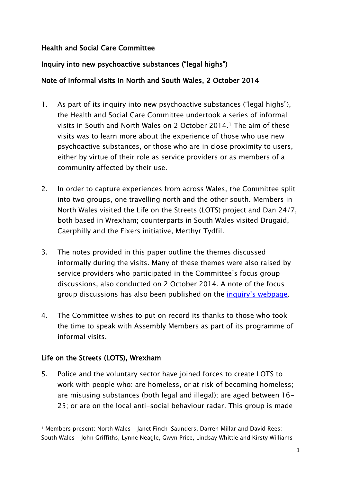#### Health and Social Care Committee

## Inquiry into new psychoactive substances ("legal highs")

### Note of informal visits in North and South Wales, 2 October 2014

- 1. As part of its inquiry into new psychoactive substances ("legal highs"), the Health and Social Care Committee undertook a series of informal visits in South and North Wales on 2 October 2014.<sup>1</sup> The aim of these visits was to learn more about the experience of those who use new psychoactive substances, or those who are in close proximity to users, either by virtue of their role as service providers or as members of a community affected by their use.
- 2. In order to capture experiences from across Wales, the Committee split into two groups, one travelling north and the other south. Members in North Wales visited the Life on the Streets (LOTS) project and Dan 24/7, both based in Wrexham; counterparts in South Wales visited Drugaid, Caerphilly and the Fixers initiative, Merthyr Tydfil.
- 3. The notes provided in this paper outline the themes discussed informally during the visits. Many of these themes were also raised by service providers who participated in the Committee"s focus group discussions, also conducted on 2 October 2014. A note of the focus group discussions has also been published on the *inquiry's webpage*.
- 4. The Committee wishes to put on record its thanks to those who took the time to speak with Assembly Members as part of its programme of informal visits.

### Life on the Streets (LOTS), Wrexham

 $\overline{a}$ 

5. Police and the voluntary sector have joined forces to create LOTS to work with people who: are homeless, or at risk of becoming homeless; are misusing substances (both legal and illegal); are aged between 16- 25; or are on the local anti-social behaviour radar. This group is made

<sup>1</sup> Members present: North Wales – Janet Finch-Saunders, Darren Millar and David Rees; South Wales – John Griffiths, Lynne Neagle, Gwyn Price, Lindsay Whittle and Kirsty Williams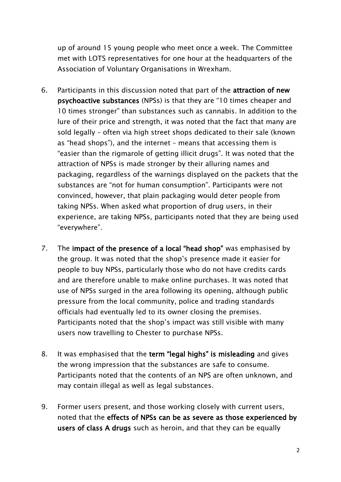up of around 15 young people who meet once a week. The Committee met with LOTS representatives for one hour at the headquarters of the Association of Voluntary Organisations in Wrexham.

- 6. Participants in this discussion noted that part of the attraction of new psychoactive substances (NPSs) is that they are "10 times cheaper and 10 times stronger" than substances such as cannabis. In addition to the lure of their price and strength, it was noted that the fact that many are sold legally – often via high street shops dedicated to their sale (known as "head shops"), and the internet – means that accessing them is "easier than the rigmarole of getting illicit drugs". It was noted that the attraction of NPSs is made stronger by their alluring names and packaging, regardless of the warnings displayed on the packets that the substances are "not for human consumption". Participants were not convinced, however, that plain packaging would deter people from taking NPSs. When asked what proportion of drug users, in their experience, are taking NPSs, participants noted that they are being used "everywhere".
- 7. The impact of the presence of a local "head shop" was emphasised by the group. It was noted that the shop"s presence made it easier for people to buy NPSs, particularly those who do not have credits cards and are therefore unable to make online purchases. It was noted that use of NPSs surged in the area following its opening, although public pressure from the local community, police and trading standards officials had eventually led to its owner closing the premises. Participants noted that the shop"s impact was still visible with many users now travelling to Chester to purchase NPSs.
- 8. It was emphasised that the term "legal highs" is misleading and gives the wrong impression that the substances are safe to consume. Participants noted that the contents of an NPS are often unknown, and may contain illegal as well as legal substances.
- 9. Former users present, and those working closely with current users, noted that the effects of NPSs can be as severe as those experienced by users of class A drugs such as heroin, and that they can be equally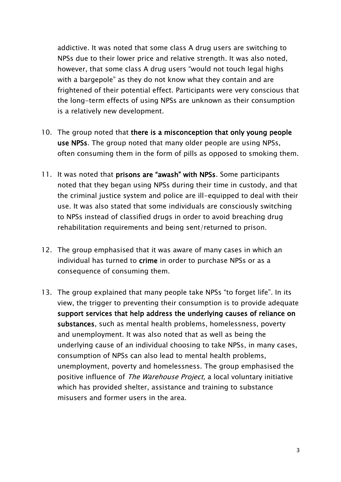addictive. It was noted that some class A drug users are switching to NPSs due to their lower price and relative strength. It was also noted, however, that some class A drug users "would not touch legal highs with a bargepole" as they do not know what they contain and are frightened of their potential effect. Participants were very conscious that the long-term effects of using NPSs are unknown as their consumption is a relatively new development.

- 10. The group noted that there is a misconception that only young people use NPSs. The group noted that many older people are using NPSs, often consuming them in the form of pills as opposed to smoking them.
- 11. It was noted that prisons are "awash" with NPSs. Some participants noted that they began using NPSs during their time in custody, and that the criminal justice system and police are ill-equipped to deal with their use. It was also stated that some individuals are consciously switching to NPSs instead of classified drugs in order to avoid breaching drug rehabilitation requirements and being sent/returned to prison.
- 12. The group emphasised that it was aware of many cases in which an individual has turned to crime in order to purchase NPSs or as a consequence of consuming them.
- 13. The group explained that many people take NPSs "to forget life". In its view, the trigger to preventing their consumption is to provide adequate support services that help address the underlying causes of reliance on substances, such as mental health problems, homelessness, poverty and unemployment. It was also noted that as well as being the underlying cause of an individual choosing to take NPSs, in many cases, consumption of NPSs can also lead to mental health problems, unemployment, poverty and homelessness. The group emphasised the positive influence of The Warehouse Project, a local voluntary initiative which has provided shelter, assistance and training to substance misusers and former users in the area.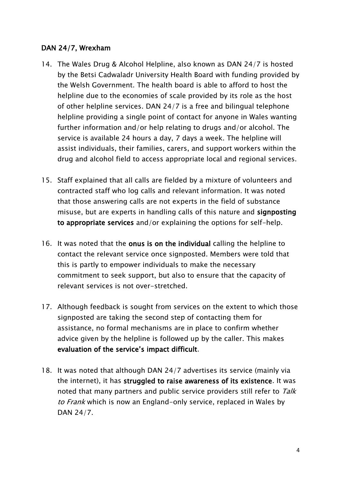#### DAN 24/7, Wrexham

- 14. The Wales Drug & Alcohol Helpline, also known as DAN 24/7 is hosted by the Betsi Cadwaladr University Health Board with funding provided by the Welsh Government. The health board is able to afford to host the helpline due to the economies of scale provided by its role as the host of other helpline services. DAN 24/7 is a free and bilingual telephone helpline providing a single point of contact for anyone in Wales wanting further information and/or help relating to drugs and/or alcohol. The service is available 24 hours a day, 7 days a week. The helpline will assist individuals, their families, carers, and support workers within the drug and alcohol field to access appropriate local and regional services.
- 15. Staff explained that all calls are fielded by a mixture of volunteers and contracted staff who log calls and relevant information. It was noted that those answering calls are not experts in the field of substance misuse, but are experts in handling calls of this nature and signposting to appropriate services and/or explaining the options for self-help.
- 16. It was noted that the onus is on the individual calling the helpline to contact the relevant service once signposted. Members were told that this is partly to empower individuals to make the necessary commitment to seek support, but also to ensure that the capacity of relevant services is not over-stretched.
- 17. Although feedback is sought from services on the extent to which those signposted are taking the second step of contacting them for assistance, no formal mechanisms are in place to confirm whether advice given by the helpline is followed up by the caller. This makes evaluation of the service"s impact difficult.
- 18. It was noted that although DAN 24/7 advertises its service (mainly via the internet), it has struggled to raise awareness of its existence. It was noted that many partners and public service providers still refer to Talk to Frank which is now an England-only service, replaced in Wales by DAN 24/7.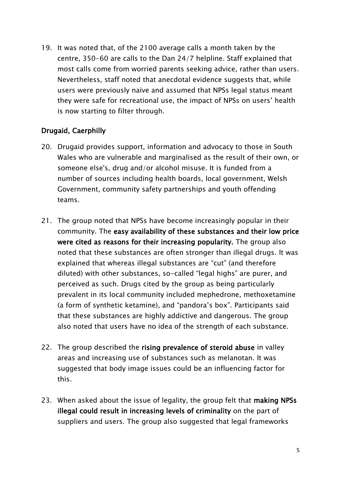19. It was noted that, of the 2100 average calls a month taken by the centre, 350-60 are calls to the Dan 24/7 helpline. Staff explained that most calls come from worried parents seeking advice, rather than users. Nevertheless, staff noted that anecdotal evidence suggests that, while users were previously naïve and assumed that NPSs legal status meant they were safe for recreational use, the impact of NPSs on users" health is now starting to filter through.

### Drugaid, Caerphilly

- 20. Drugaid provides support, information and advocacy to those in South Wales who are vulnerable and marginalised as the result of their own, or someone else's, drug and/or alcohol misuse. It is funded from a number of sources including health boards, local government, Welsh Government, community safety partnerships and youth offending teams.
- 21. The group noted that NPSs have become increasingly popular in their community. The easy availability of these substances and their low price were cited as reasons for their increasing popularity. The group also noted that these substances are often stronger than illegal drugs. It was explained that whereas illegal substances are "cut" (and therefore diluted) with other substances, so-called "legal highs" are purer, and perceived as such. Drugs cited by the group as being particularly prevalent in its local community included mephedrone, methoxetamine (a form of synthetic ketamine), and "pandora"s box". Participants said that these substances are highly addictive and dangerous. The group also noted that users have no idea of the strength of each substance.
- 22. The group described the rising prevalence of steroid abuse in valley areas and increasing use of substances such as melanotan. It was suggested that body image issues could be an influencing factor for this.
- 23. When asked about the issue of legality, the group felt that making NPSs illegal could result in increasing levels of criminality on the part of suppliers and users. The group also suggested that legal frameworks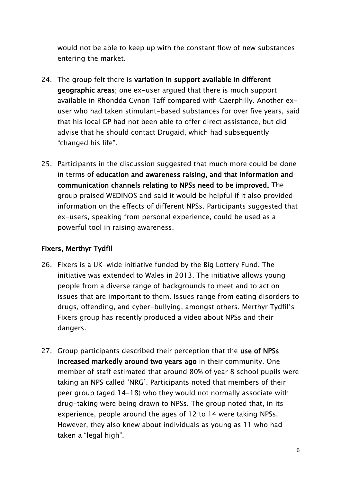would not be able to keep up with the constant flow of new substances entering the market.

- 24. The group felt there is variation in support available in different geographic areas; one ex-user argued that there is much support available in Rhondda Cynon Taff compared with Caerphilly. Another exuser who had taken stimulant-based substances for over five years, said that his local GP had not been able to offer direct assistance, but did advise that he should contact Drugaid, which had subsequently "changed his life".
- 25. Participants in the discussion suggested that much more could be done in terms of education and awareness raising, and that information and communication channels relating to NPSs need to be improved. The group praised WEDINOS and said it would be helpful if it also provided information on the effects of different NPSs. Participants suggested that ex-users, speaking from personal experience, could be used as a powerful tool in raising awareness.

# Fixers, Merthyr Tydfil

- 26. Fixers is a UK-wide initiative funded by the Big Lottery Fund. The initiative was extended to Wales in 2013. The initiative allows young people from a diverse range of backgrounds to meet and to act on issues that are important to them. Issues range from eating disorders to drugs, offending, and cyber-bullying, amongst others. Merthyr Tydfil"s Fixers group has recently produced a video about NPSs and their dangers.
- 27. Group participants described their perception that the use of NPSs increased markedly around two years ago in their community. One member of staff estimated that around 80% of year 8 school pupils were taking an NPS called "NRG". Participants noted that members of their peer group (aged 14-18) who they would not normally associate with drug-taking were being drawn to NPSs. The group noted that, in its experience, people around the ages of 12 to 14 were taking NPSs. However, they also knew about individuals as young as 11 who had taken a "legal high".